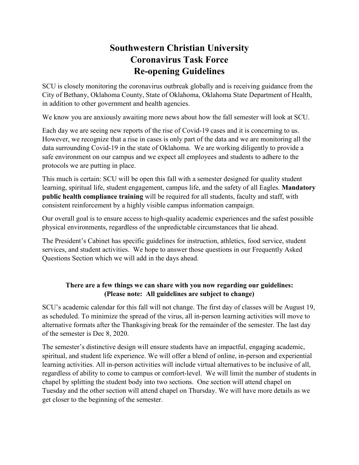## **Southwestern Christian University Coronavirus Task Force Re-opening Guidelines**

SCU is closely monitoring the coronavirus outbreak globally and is receiving guidance from the City of Bethany, Oklahoma County, State of Oklahoma, Oklahoma State Department of Health, in addition to other government and health agencies.

We know you are anxiously awaiting more news about how the fall semester will look at SCU.

Each day we are seeing new reports of the rise of Covid-19 cases and it is concerning to us. However, we recognize that a rise in cases is only part of the data and we are monitoring all the data surrounding Covid-19 in the state of Oklahoma. We are working diligently to provide a safe environment on our campus and we expect all employees and students to adhere to the protocols we are putting in place.

This much is certain: SCU will be open this fall with a semester designed for quality student learning, spiritual life, student engagement, campus life, and the safety of all Eagles. **Mandatory public health compliance training** will be required for all students, faculty and staff, with consistent reinforcement by a highly visible campus information campaign.

Our overall goal is to ensure access to high-quality academic experiences and the safest possible physical environments, regardless of the unpredictable circumstances that lie ahead.

The President's Cabinet has specific guidelines for instruction, athletics, food service, student services, and student activities. We hope to answer those questions in our Frequently Asked Questions Section which we will add in the days ahead.

## **There are a few things we can share with you now regarding our guidelines: (Please note: All guidelines are subject to change)**

SCU's academic calendar for this fall will not change. The first day of classes will be August 19, as scheduled. To minimize the spread of the virus, all in-person learning activities will move to alternative formats after the Thanksgiving break for the remainder of the semester. The last day of the semester is Dec 8, 2020.

The semester's distinctive design will ensure students have an impactful, engaging academic, spiritual, and student life experience. We will offer a blend of online, in-person and experiential learning activities. All in-person activities will include virtual alternatives to be inclusive of all, regardless of ability to come to campus or comfort-level. We will limit the number of students in chapel by splitting the student body into two sections. One section will attend chapel on Tuesday and the other section will attend chapel on Thursday. We will have more details as we get closer to the beginning of the semester.